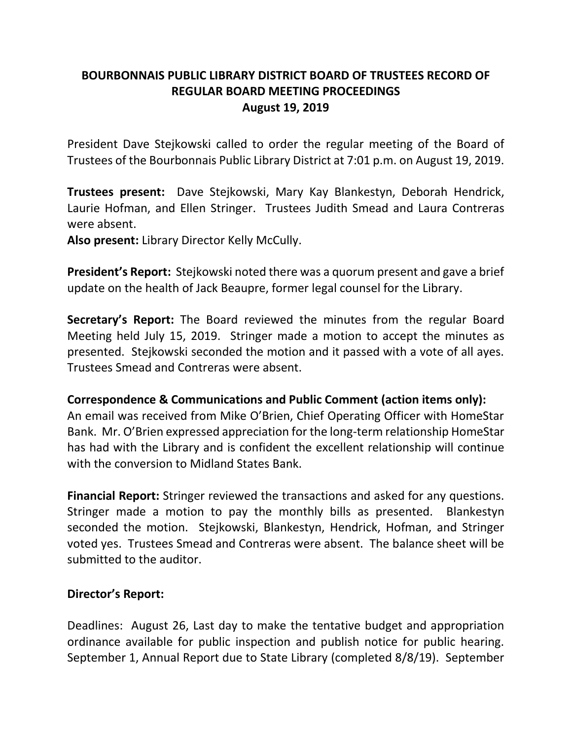# **BOURBONNAIS PUBLIC LIBRARY DISTRICT BOARD OF TRUSTEES RECORD OF REGULAR BOARD MEETING PROCEEDINGS August 19, 2019**

President Dave Stejkowski called to order the regular meeting of the Board of Trustees of the Bourbonnais Public Library District at 7:01 p.m. on August 19, 2019.

**Trustees present:** Dave Stejkowski, Mary Kay Blankestyn, Deborah Hendrick, Laurie Hofman, and Ellen Stringer. Trustees Judith Smead and Laura Contreras were absent.

**Also present:** Library Director Kelly McCully.

**President's Report:** Stejkowski noted there was a quorum present and gave a brief update on the health of Jack Beaupre, former legal counsel for the Library.

**Secretary's Report:** The Board reviewed the minutes from the regular Board Meeting held July 15, 2019. Stringer made a motion to accept the minutes as presented. Stejkowski seconded the motion and it passed with a vote of all ayes. Trustees Smead and Contreras were absent.

## **Correspondence & Communications and Public Comment (action items only):**

An email was received from Mike O'Brien, Chief Operating Officer with HomeStar Bank. Mr. O'Brien expressed appreciation for the long-term relationship HomeStar has had with the Library and is confident the excellent relationship will continue with the conversion to Midland States Bank.

**Financial Report:** Stringer reviewed the transactions and asked for any questions. Stringer made a motion to pay the monthly bills as presented. Blankestyn seconded the motion. Stejkowski, Blankestyn, Hendrick, Hofman, and Stringer voted yes. Trustees Smead and Contreras were absent. The balance sheet will be submitted to the auditor.

## **Director's Report:**

Deadlines: August 26, Last day to make the tentative budget and appropriation ordinance available for public inspection and publish notice for public hearing. September 1, Annual Report due to State Library (completed 8/8/19). September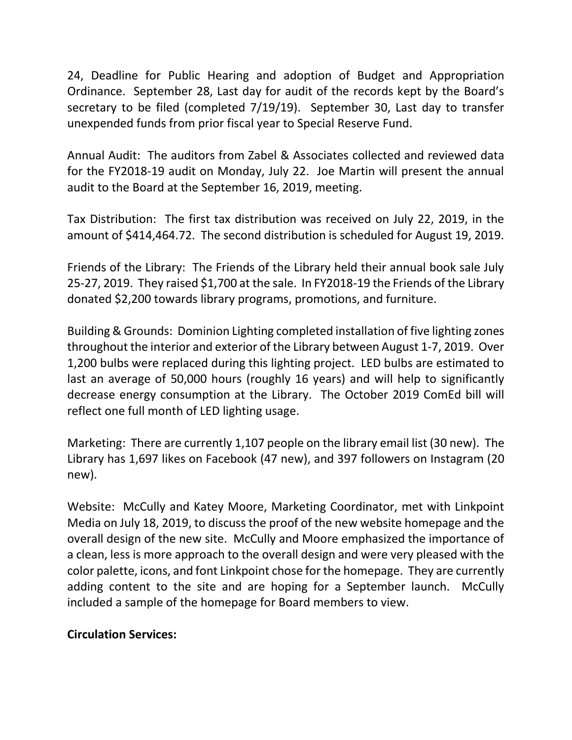24, Deadline for Public Hearing and adoption of Budget and Appropriation Ordinance. September 28, Last day for audit of the records kept by the Board's secretary to be filed (completed 7/19/19). September 30, Last day to transfer unexpended funds from prior fiscal year to Special Reserve Fund.

Annual Audit: The auditors from Zabel & Associates collected and reviewed data for the FY2018-19 audit on Monday, July 22. Joe Martin will present the annual audit to the Board at the September 16, 2019, meeting.

Tax Distribution: The first tax distribution was received on July 22, 2019, in the amount of \$414,464.72. The second distribution is scheduled for August 19, 2019.

Friends of the Library: The Friends of the Library held their annual book sale July 25-27, 2019. They raised \$1,700 at the sale. In FY2018-19 the Friends of the Library donated \$2,200 towards library programs, promotions, and furniture.

Building & Grounds: Dominion Lighting completed installation of five lighting zones throughout the interior and exterior of the Library between August 1-7, 2019. Over 1,200 bulbs were replaced during this lighting project. LED bulbs are estimated to last an average of 50,000 hours (roughly 16 years) and will help to significantly decrease energy consumption at the Library. The October 2019 ComEd bill will reflect one full month of LED lighting usage.

Marketing: There are currently 1,107 people on the library email list (30 new). The Library has 1,697 likes on Facebook (47 new), and 397 followers on Instagram (20 new).

Website: McCully and Katey Moore, Marketing Coordinator, met with Linkpoint Media on July 18, 2019, to discuss the proof of the new website homepage and the overall design of the new site. McCully and Moore emphasized the importance of a clean, less is more approach to the overall design and were very pleased with the color palette, icons, and font Linkpoint chose for the homepage. They are currently adding content to the site and are hoping for a September launch. McCully included a sample of the homepage for Board members to view.

## **Circulation Services:**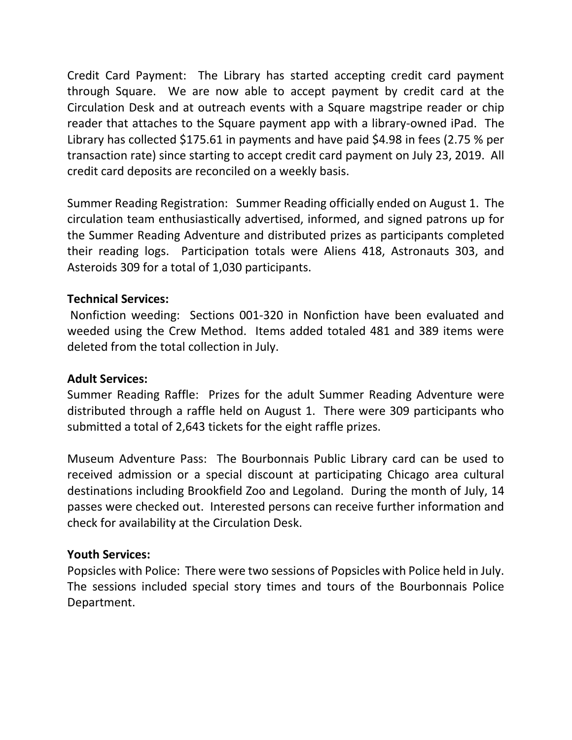Credit Card Payment: The Library has started accepting credit card payment through Square. We are now able to accept payment by credit card at the Circulation Desk and at outreach events with a Square magstripe reader or chip reader that attaches to the Square payment app with a library-owned iPad. The Library has collected \$175.61 in payments and have paid \$4.98 in fees (2.75 % per transaction rate) since starting to accept credit card payment on July 23, 2019. All credit card deposits are reconciled on a weekly basis.

Summer Reading Registration: Summer Reading officially ended on August 1. The circulation team enthusiastically advertised, informed, and signed patrons up for the Summer Reading Adventure and distributed prizes as participants completed their reading logs. Participation totals were Aliens 418, Astronauts 303, and Asteroids 309 for a total of 1,030 participants.

## **Technical Services:**

Nonfiction weeding: Sections 001-320 in Nonfiction have been evaluated and weeded using the Crew Method. Items added totaled 481 and 389 items were deleted from the total collection in July.

## **Adult Services:**

Summer Reading Raffle: Prizes for the adult Summer Reading Adventure were distributed through a raffle held on August 1. There were 309 participants who submitted a total of 2,643 tickets for the eight raffle prizes.

Museum Adventure Pass: The Bourbonnais Public Library card can be used to received admission or a special discount at participating Chicago area cultural destinations including Brookfield Zoo and Legoland. During the month of July, 14 passes were checked out. Interested persons can receive further information and check for availability at the Circulation Desk.

## **Youth Services:**

Popsicles with Police: There were two sessions of Popsicles with Police held in July. The sessions included special story times and tours of the Bourbonnais Police Department.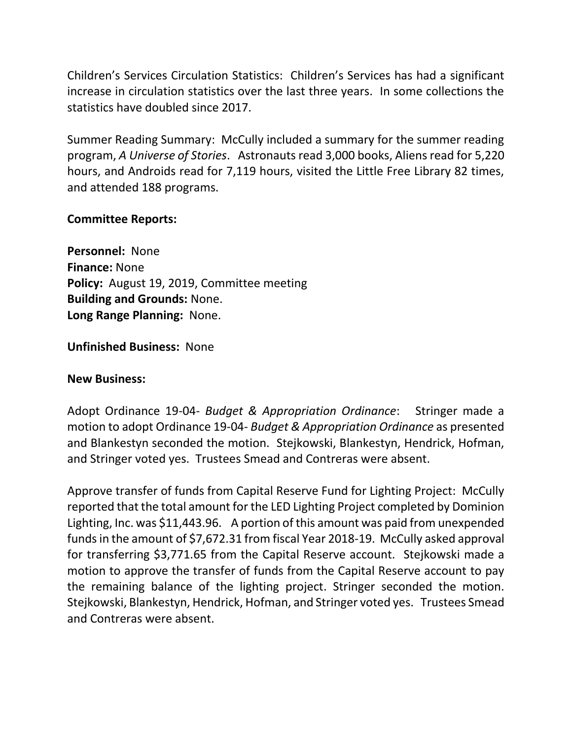Children's Services Circulation Statistics: Children's Services has had a significant increase in circulation statistics over the last three years. In some collections the statistics have doubled since 2017.

Summer Reading Summary: McCully included a summary for the summer reading program, *A Universe of Stories*. Astronauts read 3,000 books, Aliens read for 5,220 hours, and Androids read for 7,119 hours, visited the Little Free Library 82 times, and attended 188 programs.

## **Committee Reports:**

**Personnel:** None **Finance:** None **Policy:** August 19, 2019, Committee meeting **Building and Grounds:** None. **Long Range Planning:** None.

**Unfinished Business:** None

## **New Business:**

Adopt Ordinance 19-04- *Budget & Appropriation Ordinance*: Stringer made a motion to adopt Ordinance 19-04- *Budget & Appropriation Ordinance* as presented and Blankestyn seconded the motion. Stejkowski, Blankestyn, Hendrick, Hofman, and Stringer voted yes. Trustees Smead and Contreras were absent.

Approve transfer of funds from Capital Reserve Fund for Lighting Project: McCully reported that the total amount for the LED Lighting Project completed by Dominion Lighting, Inc. was \$11,443.96. A portion of this amount was paid from unexpended funds in the amount of \$7,672.31 from fiscal Year 2018-19. McCully asked approval for transferring \$3,771.65 from the Capital Reserve account. Stejkowski made a motion to approve the transfer of funds from the Capital Reserve account to pay the remaining balance of the lighting project. Stringer seconded the motion. Stejkowski, Blankestyn, Hendrick, Hofman, and Stringer voted yes. Trustees Smead and Contreras were absent.